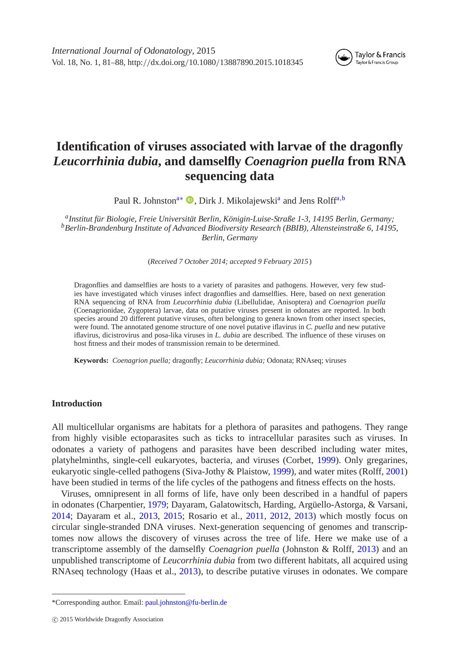

# **Identification of viruses associated with larvae of the dragonfly** *Leucorrhinia dubia***, and damselfly** *Coenagrion puella* **from RNA sequencing data**

Paul R. Johnston<sup>a[∗](#page-0-1)</sup> <sup>●</sup>[,](http://orcid.org/0000-0002-8651-4488) Dirk J. Mikol[a](#page-0-0)jewski<sup>a</sup> and Jens Rolff<sup>[a,](#page-0-0)[b](#page-0-2)</sup>

<span id="page-0-2"></span><span id="page-0-0"></span>*aInstitut für Biologie, Freie Universität Berlin, Königin-Luise-Straße 1-3, 14195 Berlin, Germany; bBerlin-Brandenburg Institute of Advanced Biodiversity Research (BBIB), Altensteinstraße 6, 14195, Berlin, Germany*

(*Received 7 October 2014; accepted 9 February 2015*)

Dragonflies and damselflies are hosts to a variety of parasites and pathogens. However, very few studies have investigated which viruses infect dragonflies and damselflies. Here, based on next generation RNA sequencing of RNA from *Leucorrhinia dubia* (Libellulidae, Anisoptera) and *Coenagrion puella* (Coenagrionidae, Zygoptera) larvae, data on putative viruses present in odonates are reported. In both species around 20 different putative viruses, often belonging to genera known from other insect species, were found. The annotated genome structure of one novel putative iflavirus in *C. puella* and new putative iflavirus, dicistrovirus and posa-lika viruses in *L. dubia* are described*.* The influence of these viruses on host fitness and their modes of transmission remain to be determined.

**Keywords:** *Coenagrion puella;* dragonfly; *Leucorrhinia dubia;* Odonata; RNAseq; viruses

## **Introduction**

All multicellular organisms are habitats for a plethora of parasites and pathogens. They range from highly visible ectoparasites such as ticks to intracellular parasites such as viruses. In odonates a variety of pathogens and parasites have been described including water mites, platyhelminths, single-cell eukaryotes, bacteria, and viruses (Corbet, [1999\)](#page-6-0). Only gregarines, eukaryotic single-celled pathogens (Siva-Jothy & Plaistow, [1999\)](#page-7-0), and water mites (Rolff, [2001\)](#page-7-1) have been studied in terms of the life cycles of the pathogens and fitness effects on the hosts.

Viruses, omnipresent in all forms of life, have only been described in a handful of papers in odonates (Charpentier, [1979;](#page-6-1) Dayaram, Galatowitsch, Harding, Argüello-Astorga, & Varsani, [2014;](#page-6-2) Dayaram et al., [2013,](#page-7-2) [2015;](#page-7-3) Rosario et al., [2011,](#page-7-4) [2012,](#page-7-5) [2013\)](#page-7-6) which mostly focus on circular single-stranded DNA viruses. Next-generation sequencing of genomes and transcriptomes now allows the discovery of viruses across the tree of life. Here we make use of a transcriptome assembly of the damselfly *Coenagrion puella* (Johnston & Rolff, [2013\)](#page-7-7) and an unpublished transcriptome of *Leucorrhinia dubia* from two different habitats, all acquired using RNAseq technology (Haas et al., [2013\)](#page-7-8), to describe putative viruses in odonates. We compare

<span id="page-0-1"></span><sup>\*</sup>Corresponding author. Email: [paul.johnston@fu-berlin.de](mailto:paul.johnston@fu-berlin.de)

c 2015 Worldwide Dragonfly Association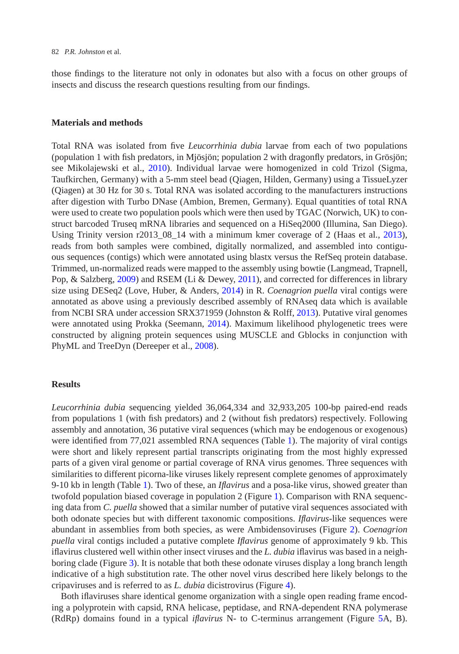those findings to the literature not only in odonates but also with a focus on other groups of insects and discuss the research questions resulting from our findings.

### **Materials and methods**

Total RNA was isolated from five *Leucorrhinia dubia* larvae from each of two populations (population 1 with fish predators, in Mjösjön; population 2 with dragonfly predators, in Grösjön; see Mikolajewski et al., [2010\)](#page-7-9). Individual larvae were homogenized in cold Trizol (Sigma, Taufkirchen, Germany) with a 5-mm steel bead (Qiagen, Hilden, Germany) using a TissueLyzer (Qiagen) at 30 Hz for 30 s. Total RNA was isolated according to the manufacturers instructions after digestion with Turbo DNase (Ambion, Bremen, Germany). Equal quantities of total RNA were used to create two population pools which were then used by TGAC (Norwich, UK) to construct barcoded Truseq mRNA libraries and sequenced on a HiSeq2000 (Illumina, San Diego). Using Trinity version r2013\_08\_14 with a minimum kmer coverage of 2 (Haas et al., [2013\)](#page-7-8), reads from both samples were combined, digitally normalized, and assembled into contiguous sequences (contigs) which were annotated using blastx versus the RefSeq protein database. Trimmed, un-normalized reads were mapped to the assembly using bowtie (Langmead, Trapnell, Pop, & Salzberg, [2009\)](#page-7-10) and RSEM (Li & Dewey, [2011\)](#page-7-11), and corrected for differences in library size using DESeq2 (Love, Huber, & Anders, [2014\)](#page-7-12) in R. *Coenagrion puella* viral contigs were annotated as above using a previously described assembly of RNAseq data which is available from NCBI SRA under accession SRX371959 (Johnston & Rolff, [2013\)](#page-7-7). Putative viral genomes were annotated using Prokka (Seemann, [2014\)](#page-7-13). Maximum likelihood phylogenetic trees were constructed by aligning protein sequences using MUSCLE and Gblocks in conjunction with PhyML and TreeDyn (Dereeper et al., [2008\)](#page-7-14).

### **Results**

*Leucorrhinia dubia* sequencing yielded 36,064,334 and 32,933,205 100-bp paired-end reads from populations 1 (with fish predators) and 2 (without fish predators) respectively. Following assembly and annotation, 36 putative viral sequences (which may be endogenous or exogenous) were identified from 77,021 assembled RNA sequences (Table [1\)](#page-2-0). The majority of viral contigs were short and likely represent partial transcripts originating from the most highly expressed parts of a given viral genome or partial coverage of RNA virus genomes. Three sequences with similarities to different picorna-like viruses likely represent complete genomes of approximately 9-10 kb in length (Table [1\)](#page-2-0). Two of these, an *Iflavirus* and a posa-like virus, showed greater than twofold population biased coverage in population 2 (Figure [1\)](#page-3-0). Comparison with RNA sequencing data from *C. puella* showed that a similar number of putative viral sequences associated with both odonate species but with different taxonomic compositions. *Iflavirus*-like sequences were abundant in assemblies from both species, as were Ambidensoviruses (Figure [2\)](#page-3-1). *Coenagrion puella* viral contigs included a putative complete *Iflavirus* genome of approximately 9 kb. This iflavirus clustered well within other insect viruses and the *L. dubia* iflavirus was based in a neighboring clade (Figure [3\)](#page-4-0). It is notable that both these odonate viruses display a long branch length indicative of a high substitution rate. The other novel virus described here likely belongs to the cripaviruses and is referred to as *L. dubia* dicistrovirus (Figure [4\)](#page-4-1).

Both iflaviruses share identical genome organization with a single open reading frame encoding a polyprotein with capsid, RNA helicase, peptidase, and RNA-dependent RNA polymerase (RdRp) domains found in a typical *iflavirus* N- to C-terminus arrangement (Figure [5A](#page-5-0), B).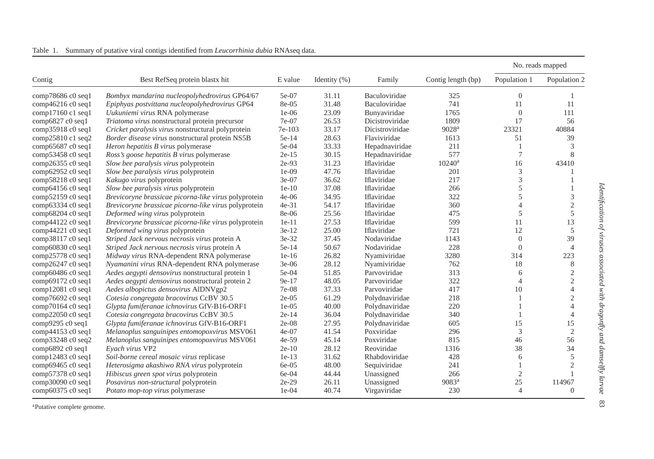| Contig               | Best RefSeq protein blastx hit                       | E value | Identity $(\%)$ | Family          | Contig length (bp) | No. reads mapped |                |
|----------------------|------------------------------------------------------|---------|-----------------|-----------------|--------------------|------------------|----------------|
|                      |                                                      |         |                 |                 |                    | Population 1     | Population 2   |
| comp78686 c0 seq1    | Bombyx mandarina nucleopolyhedrovirus GP64/67        | 5e-07   | 31.11           | Baculoviridae   | 325                | $\theta$         |                |
| comp46216 c0 seq1    | Epiphyas postvittana nucleopolyhedrovirus GP64       | 8e-05   | 31.48           | Baculoviridae   | 741                | 11               | 11             |
| comp17160 c1 seq1    | Uukuniemi virus RNA polymerase                       | $1e-06$ | 23.09           | Bunyaviridae    | 1765               | $\Omega$         | 111            |
| comp6827 c0 seq1     | Triatoma virus nonstructural protein precursor       | 7e-07   | 26.53           | Dicistroviridae | 1809               | 17               | 56             |
| comp35918 c0 seq1    | Cricket paralysis virus nonstructural polyprotein    | 7e-103  | 33.17           | Dicistroviridae | 9028 <sup>a</sup>  | 23321            | 40884          |
| comp25810 c1 seq2    | Border disease virus nonstructural protein NS5B      | 5e-14   | 28.63           | Flaviviridae    | 1613               | 51               | 39             |
| comp65687 c0 seq1    | Heron hepatitis B virus polymerase                   | 5e-04   | 33.33           | Hepadnaviridae  | 211                |                  | 3              |
| comp53458 c0 seq1    | Ross's goose hepatitis B virus polymerase            | $2e-15$ | 30.15           | Hepadnaviridae  | 577                | $\overline{7}$   | 8              |
| comp26355 c0 seq1    | Slow bee paralysis virus polyprotein                 | 2e-93   | 31.23           | Iflaviridae     | $10240^{\rm a}$    | 16               | 43410          |
| comp62952 c0 seq1    | Slow bee paralysis virus polyprotein                 | $1e-09$ | 47.76           | Iflaviridae     | 201                | 3                |                |
| comp58218 c0 seq1    | Kakugo virus polyprotein                             | 3e-07   | 36.62           | Iflaviridae     | 217                | 3                |                |
| comp64156 c0 seq1    | Slow bee paralysis virus polyprotein                 | $1e-10$ | 37.08           | Iflaviridae     | 266                | 5                |                |
| comp52159 c0 seq1    | Brevicoryne brassicae picorna-like virus polyprotein | $4e-06$ | 34.95           | Iflaviridae     | 322                | 5                | 3              |
| comp63334 c0 seq1    | Brevicoryne brassicae picorna-like virus polyprotein | $4e-31$ | 54.17           | Iflaviridae     | 360                | $\Delta$         | $\mathfrak{2}$ |
| comp68204 c0 seq1    | Deformed wing virus polyprotein                      | 8e-06   | 25.56           | Iflaviridae     | 475                | 5                | 5              |
| comp $44122$ c0 seq1 | Brevicoryne brassicae picorna-like virus polyprotein | $1e-11$ | 27.53           | Iflaviridae     | 599                | 11               | 13             |
| comp $44221$ c0 seq1 | Deformed wing virus polyprotein                      | $3e-12$ | 25.00           | Iflaviridae     | 721                | 12               | 5              |
| comp38117 c0 seq1    | Striped Jack nervous necrosis virus protein A        | 3e-32   | 37.45           | Nodaviridae     | 1143               | $\Omega$         | 39             |
| comp60830 c0 seq1    | Striped Jack nervous necrosis virus protein A        | 5e-14   | 50.67           | Nodaviridae     | 228                | $\theta$         | 4              |
| comp25778 c0 seq1    | Midway virus RNA-dependent RNA polymerase            | $1e-16$ | 26.82           | Nyamiviridae    | 3280               | 314              | 223            |
| comp26247 c0 seq1    | Nyamanini virus RNA-dependent RNA polymerase         | $3e-06$ | 28.12           | Nyamiviridae    | 762                | 18               | 8              |
| comp60486 c0 seq1    | Aedes aegypti densovirus nonstructural protein 1     | 5e-04   | 51.85           | Parvoviridae    | 313                | 6                | $\mathfrak{2}$ |
| comp69172 c0 seq1    | Aedes aegypti densovirus nonstructural protein 2     | 9e-17   | 48.05           | Parvoviridae    | 322                | $\overline{4}$   | $\overline{c}$ |
| comp12081 c0 seq1    | Aedes albopictus densovirus AlDNVgp2                 | 7e-08   | 37.33           | Parvoviridae    | 417                | 10               | $\overline{4}$ |
| comp76692 c0 seq1    | Cotesia congregata bracovirus CcBV 30.5              | $2e-05$ | 61.29           | Polydnaviridae  | 218                |                  | $\mathfrak{2}$ |
| comp70164 c0 seq1    | Glypta fumiferanae ichnovirus GfV-B16-ORF1           | $1e-05$ | 40.00           | Polydnaviridae  | 220                |                  | 4              |
| comp22050 c0 seq1    | Cotesia congregata bracovirus CcBV 30.5              | $2e-14$ | 36.04           | Polydnaviridae  | 340                |                  | $\overline{4}$ |
| comp9295 c0 seq1     | Glypta fumiferanae ichnovirus GfV-B16-ORF1           | $2e-08$ | 27.95           | Polydnaviridae  | 605                | 15               | 15             |
| comp $44153$ c0 seq1 | Melanoplus sanguinipes entomopoxvirus MSV061         | $4e-07$ | 41.54           | Poxviridae      | 296                | 3                | $\mathfrak{2}$ |
| comp33248 c0 seq2    | Melanoplus sanguinipes entomopoxvirus MSV061         | 4e-59   | 45.14           | Poxviridae      | 815                | 46               | 56             |
| comp6892 c0 seq1     | Evach virus VP2                                      | $2e-10$ | 28.12           | Reoviridae      | 1316               | 38               | 34             |
| comp12483 c0 seq1    | Soil-borne cereal mosaic virus replicase             | $1e-13$ | 31.62           | Rhabdoviridae   | 428                | 6                | 5              |
| comp69465 c0 seq1    | Heterosigma akashiwo RNA virus polyprotein           | 6e-05   | 48.00           | Sequiviridae    | 241                |                  | $\mathfrak{2}$ |
| comp57378 c0 seq1    | Hibiscus green spot virus polyprotein                | 6e-04   | 44.44           | Unassigned      | 266                | $\mathfrak{2}$   |                |
| comp30090 c0 seq1    | Posavirus non-structural polyprotein                 | $2e-29$ | 26.11           | Unassigned      | 9083 <sup>a</sup>  | 25               | 114967         |
| comp60375 c0 seq1    | Potato mop-top virus polymerase                      | $1e-04$ | 40.74           | Virgaviridae    | 230                | $\overline{4}$   | $\Omega$       |

| Table 1. |  |  |  | Summary of putative viral contigs identified from <i>Leucorrhinia dubia</i> RNAseq data. |  |  |
|----------|--|--|--|------------------------------------------------------------------------------------------|--|--|
|----------|--|--|--|------------------------------------------------------------------------------------------|--|--|

<span id="page-2-0"></span>aPutative complete genome.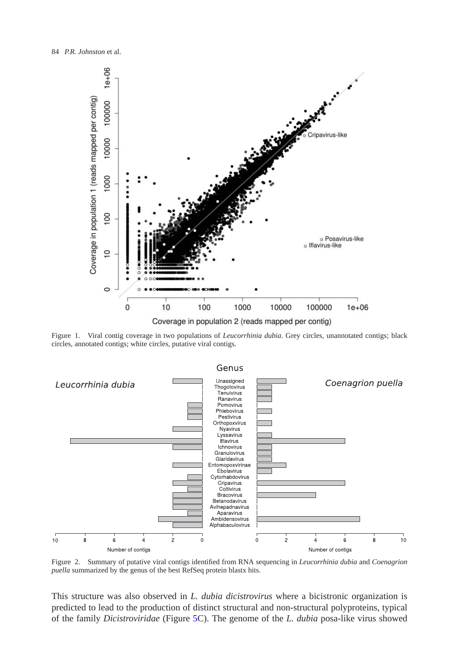

<span id="page-3-0"></span>Figure 1. Viral contig coverage in two populations of *Leucorrhinia dubia*. Grey circles, unannotated contigs; black circles, annotated contigs; white circles, putative viral contigs.



<span id="page-3-1"></span>Figure 2. Summary of putative viral contigs identified from RNA sequencing in *Leucorrhinia dubia* and *Coenagrion puella* summarized by the genus of the best RefSeq protein blastx hits.

This structure was also observed in *L. dubia dicistrovirus* where a bicistronic organization is predicted to lead to the production of distinct structural and non-structural polyproteins, typical of the family *Dicistroviridae* (Figure [5C](#page-5-0)). The genome of the *L. dubia* posa-like virus showed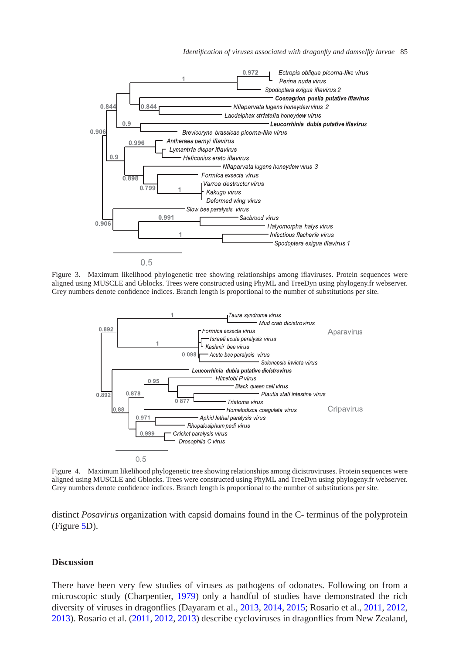*Identification of viruses associated with dragonfly and damselfly larvae* 85



Figure 3. Maximum likelihood phylogenetic tree showing relationships among iflaviruses. Protein sequences were aligned using MUSCLE and Gblocks. Trees were constructed using PhyML and TreeDyn using phylogeny.fr webserver. Grey numbers denote confidence indices. Branch length is proportional to the number of substitutions per site.

<span id="page-4-0"></span>

<span id="page-4-1"></span>Figure 4. Maximum likelihood phylogenetic tree showing relationships among dicistroviruses. Protein sequences were aligned using MUSCLE and Gblocks. Trees were constructed using PhyML and TreeDyn using phylogeny.fr webserver. Grey numbers denote confidence indices. Branch length is proportional to the number of substitutions per site.

distinct *Posavirus* organization with capsid domains found in the C- terminus of the polyprotein (Figure [5D](#page-5-0)).

# **Discussion**

There have been very few studies of viruses as pathogens of odonates. Following on from a microscopic study (Charpentier, [1979\)](#page-6-1) only a handful of studies have demonstrated the rich diversity of viruses in dragonflies (Dayaram et al., [2013,](#page-7-2) [2014,](#page-6-2) [2015;](#page-7-3) Rosario et al., [2011,](#page-7-4) [2012,](#page-7-5) [2013\)](#page-7-6). Rosario et al. [\(2011,](#page-7-4) [2012,](#page-7-5) [2013\)](#page-7-6) describe cycloviruses in dragonflies from New Zealand,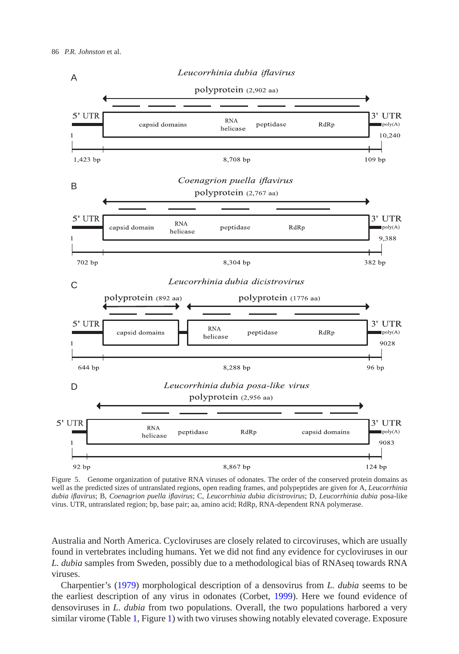

<span id="page-5-0"></span>Figure 5. Genome organization of putative RNA viruses of odonates. The order of the conserved protein domains as well as the predicted sizes of untranslated regions, open reading frames, and polypeptides are given for A, *Leucorrhinia dubia iflavirus*; B, *Coenagrion puella iflavirus*; C, *Leucorrhinia dubia dicistrovirus*; D, *Leucorrhinia dubia* posa-like virus. UTR, untranslated region; bp, base pair; aa, amino acid; RdRp, RNA-dependent RNA polymerase.

Australia and North America. Cycloviruses are closely related to circoviruses, which are usually found in vertebrates including humans. Yet we did not find any evidence for cycloviruses in our *L. dubia* samples from Sweden, possibly due to a methodological bias of RNAseq towards RNA viruses.

Charpentier's [\(1979\)](#page-6-1) morphological description of a densovirus from *L. dubia* seems to be the earliest description of any virus in odonates (Corbet, [1999\)](#page-6-0). Here we found evidence of densoviruses in *L. dubia* from two populations. Overall, the two populations harbored a very similar virome (Table [1,](#page-2-0) Figure [1\)](#page-3-0) with two viruses showing notably elevated coverage. Exposure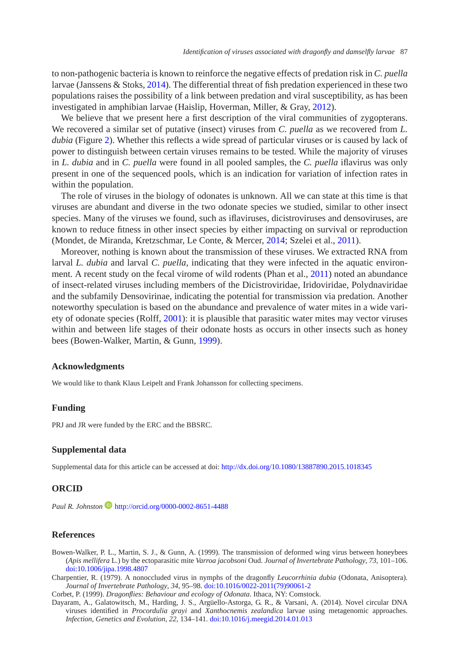to non-pathogenic bacteria is known to reinforce the negative effects of predation risk in *C. puella* larvae (Janssens & Stoks, [2014\)](#page-7-15). The differential threat of fish predation experienced in these two populations raises the possibility of a link between predation and viral susceptibility, as has been investigated in amphibian larvae (Haislip, Hoverman, Miller, & Gray, [2012\)](#page-7-16).

We believe that we present here a first description of the viral communities of zygopterans. We recovered a similar set of putative (insect) viruses from *C. puella* as we recovered from *L. dubia* (Figure [2\)](#page-3-1). Whether this reflects a wide spread of particular viruses or is caused by lack of power to distinguish between certain viruses remains to be tested. While the majority of viruses in *L. dubia* and in *C. puella* were found in all pooled samples, the *C. puella* iflavirus was only present in one of the sequenced pools, which is an indication for variation of infection rates in within the population.

The role of viruses in the biology of odonates is unknown. All we can state at this time is that viruses are abundant and diverse in the two odonate species we studied, similar to other insect species. Many of the viruses we found, such as iflaviruses, dicistroviruses and densoviruses, are known to reduce fitness in other insect species by either impacting on survival or reproduction (Mondet, de Miranda, Kretzschmar, Le Conte, & Mercer, [2014;](#page-7-17) Szelei et al., [2011\)](#page-7-18).

Moreover, nothing is known about the transmission of these viruses. We extracted RNA from larval *L. dubia* and larval *C. puella*, indicating that they were infected in the aquatic environ-ment. A recent study on the fecal virome of wild rodents (Phan et al., [2011\)](#page-7-19) noted an abundance of insect-related viruses including members of the Dicistroviridae, Iridoviridae, Polydnaviridae and the subfamily Densovirinae, indicating the potential for transmission via predation. Another noteworthy speculation is based on the abundance and prevalence of water mites in a wide variety of odonate species (Rolff, [2001\)](#page-7-1): it is plausible that parasitic water mites may vector viruses within and between life stages of their odonate hosts as occurs in other insects such as honey bees (Bowen-Walker, Martin, & Gunn, [1999\)](#page-6-3).

#### **Acknowledgments**

We would like to thank Klaus Leipelt and Frank Johansson for collecting specimens.

#### **Funding**

PRJ and JR were funded by the ERC and the BBSRC.

#### **Supplemental data**

Supplemental data for this article can be accessed at doi: <http://dx.doi.org/10.1080/13887890.2015.1018345>

#### **ORCID**

*Paul R. Johnston* **<http://orcid.org/0000-0002-8651-4488>** 

#### **References**

- <span id="page-6-3"></span>Bowen-Walker, P. L., Martin, S. J., & Gunn, A. (1999). The transmission of deformed wing virus between honeybees (*Apis mellifera* L.) by the ectoparasitic mite *Varroa jacobsoni* Oud. *Journal of Invertebrate Pathology*, *73*, 101–106. [doi:10.1006/jipa.1998.4807](http://dx.doi.org/10.1006/jipa.1998.4807)
- <span id="page-6-1"></span>Charpentier, R. (1979). A nonoccluded virus in nymphs of the dragonfly *Leucorrhinia dubia* (Odonata, Anisoptera). *Journal of Invertebrate Pathology*, *34*, 95–98. [doi:10.1016/0022-2011\(79\)90061-2](http://dx.doi.org/10.1016/0022-2011(79)90061-2)
- Corbet, P. (1999). *Dragonflies: Behaviour and ecology of Odonata*. Ithaca, NY: Comstock.
- <span id="page-6-2"></span><span id="page-6-0"></span>Dayaram, A., Galatowitsch, M., Harding, J. S., Argüello-Astorga, G. R., & Varsani, A. (2014). Novel circular DNA viruses identified in *Procordulia grayi* and *Xanthocnemis zealandica* larvae using metagenomic approaches. *Infection, Genetics and Evolution*, *22*, 134–141. [doi:10.1016/j.meegid.2014.01.013](http://dx.doi.org/10.1016/j.meegid.2014.01.013)